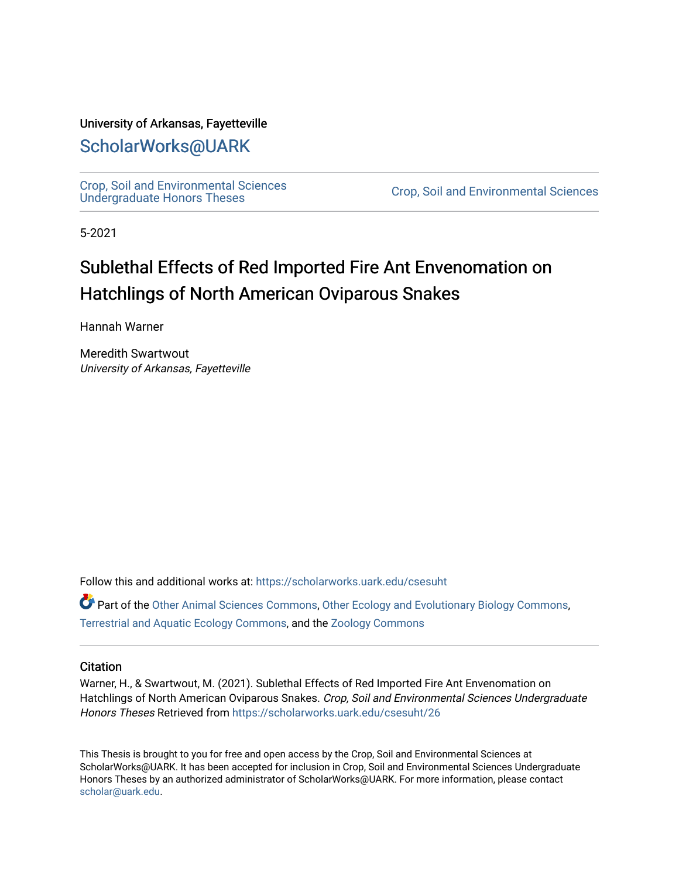#### University of Arkansas, Fayetteville

## [ScholarWorks@UARK](https://scholarworks.uark.edu/)

[Crop, Soil and Environmental Sciences](https://scholarworks.uark.edu/csesuht) 

Crop, Soil and Environmental Sciences

5-2021

# Sublethal Effects of Red Imported Fire Ant Envenomation on Hatchlings of North American Oviparous Snakes

Hannah Warner

Meredith Swartwout University of Arkansas, Fayetteville

Follow this and additional works at: [https://scholarworks.uark.edu/csesuht](https://scholarworks.uark.edu/csesuht?utm_source=scholarworks.uark.edu%2Fcsesuht%2F26&utm_medium=PDF&utm_campaign=PDFCoverPages)

Part of the [Other Animal Sciences Commons](http://network.bepress.com/hgg/discipline/82?utm_source=scholarworks.uark.edu%2Fcsesuht%2F26&utm_medium=PDF&utm_campaign=PDFCoverPages), [Other Ecology and Evolutionary Biology Commons,](http://network.bepress.com/hgg/discipline/21?utm_source=scholarworks.uark.edu%2Fcsesuht%2F26&utm_medium=PDF&utm_campaign=PDFCoverPages) [Terrestrial and Aquatic Ecology Commons,](http://network.bepress.com/hgg/discipline/20?utm_source=scholarworks.uark.edu%2Fcsesuht%2F26&utm_medium=PDF&utm_campaign=PDFCoverPages) and the [Zoology Commons](http://network.bepress.com/hgg/discipline/81?utm_source=scholarworks.uark.edu%2Fcsesuht%2F26&utm_medium=PDF&utm_campaign=PDFCoverPages) 

#### **Citation**

Warner, H., & Swartwout, M. (2021). Sublethal Effects of Red Imported Fire Ant Envenomation on Hatchlings of North American Oviparous Snakes. Crop, Soil and Environmental Sciences Undergraduate Honors Theses Retrieved from [https://scholarworks.uark.edu/csesuht/26](https://scholarworks.uark.edu/csesuht/26?utm_source=scholarworks.uark.edu%2Fcsesuht%2F26&utm_medium=PDF&utm_campaign=PDFCoverPages)

This Thesis is brought to you for free and open access by the Crop, Soil and Environmental Sciences at ScholarWorks@UARK. It has been accepted for inclusion in Crop, Soil and Environmental Sciences Undergraduate Honors Theses by an authorized administrator of ScholarWorks@UARK. For more information, please contact [scholar@uark.edu](mailto:scholar@uark.edu).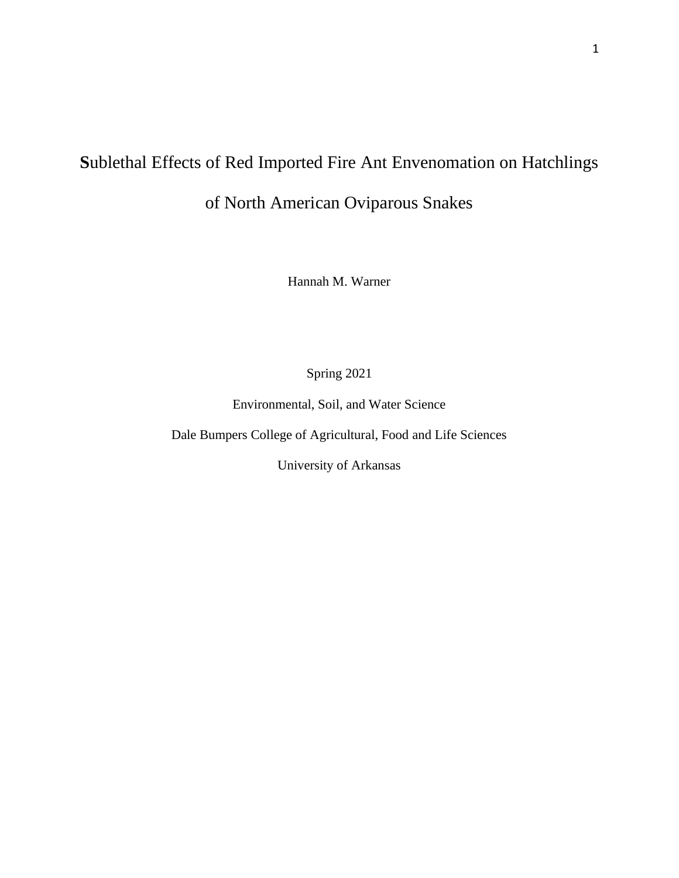# **S**ublethal Effects of Red Imported Fire Ant Envenomation on Hatchlings

of North American Oviparous Snakes

Hannah M. Warner

Spring 2021

Environmental, Soil, and Water Science

Dale Bumpers College of Agricultural, Food and Life Sciences

University of Arkansas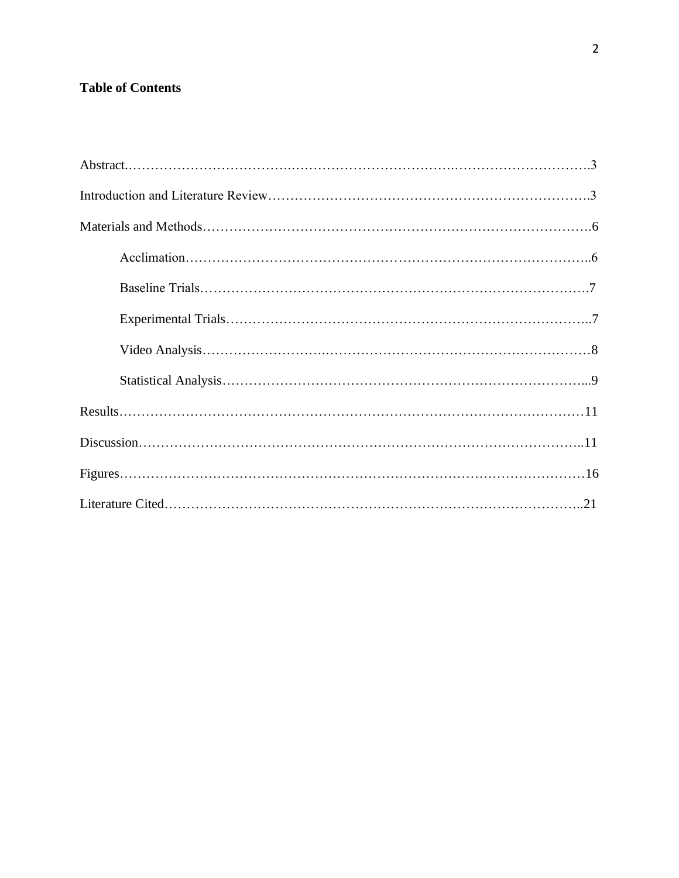### **Table of Contents**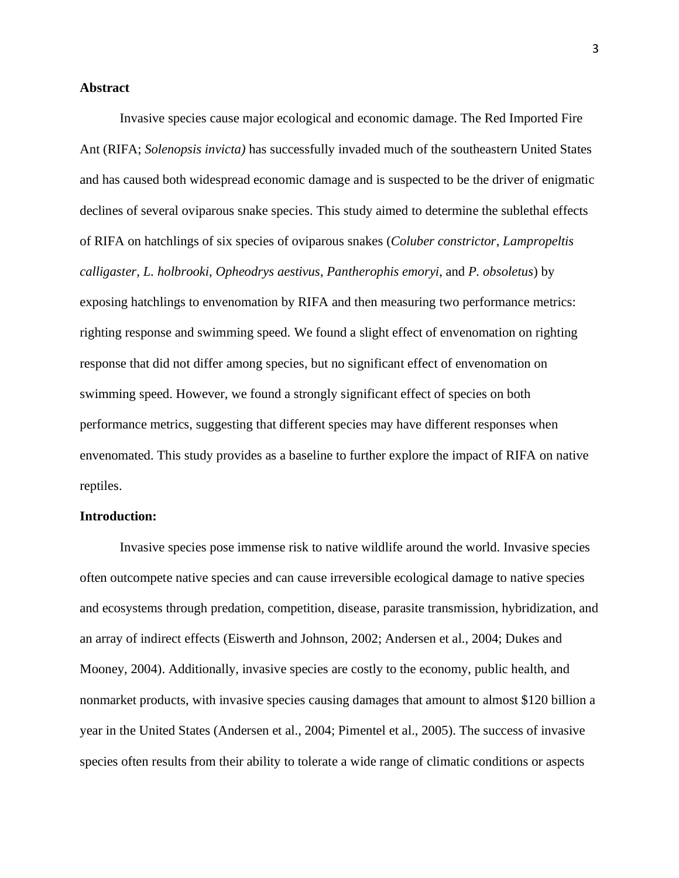#### **Abstract**

Invasive species cause major ecological and economic damage. The Red Imported Fire Ant (RIFA; *Solenopsis invicta)* has successfully invaded much of the southeastern United States and has caused both widespread economic damage and is suspected to be the driver of enigmatic declines of several oviparous snake species. This study aimed to determine the sublethal effects of RIFA on hatchlings of six species of oviparous snakes (*Coluber constrictor*, *Lampropeltis calligaster, L. holbrooki*, *Opheodrys aestivus*, *Pantherophis emoryi*, and *P. obsoletus*) by exposing hatchlings to envenomation by RIFA and then measuring two performance metrics: righting response and swimming speed. We found a slight effect of envenomation on righting response that did not differ among species, but no significant effect of envenomation on swimming speed. However, we found a strongly significant effect of species on both performance metrics, suggesting that different species may have different responses when envenomated. This study provides as a baseline to further explore the impact of RIFA on native reptiles.

#### **Introduction:**

Invasive species pose immense risk to native wildlife around the world. Invasive species often outcompete native species and can cause irreversible ecological damage to native species and ecosystems through predation, competition, disease, parasite transmission, hybridization, and an array of indirect effects (Eiswerth and Johnson, 2002; Andersen et al., 2004; Dukes and Mooney, 2004). Additionally, invasive species are costly to the economy, public health, and nonmarket products, with invasive species causing damages that amount to almost \$120 billion a year in the United States (Andersen et al., 2004; Pimentel et al., 2005). The success of invasive species often results from their ability to tolerate a wide range of climatic conditions or aspects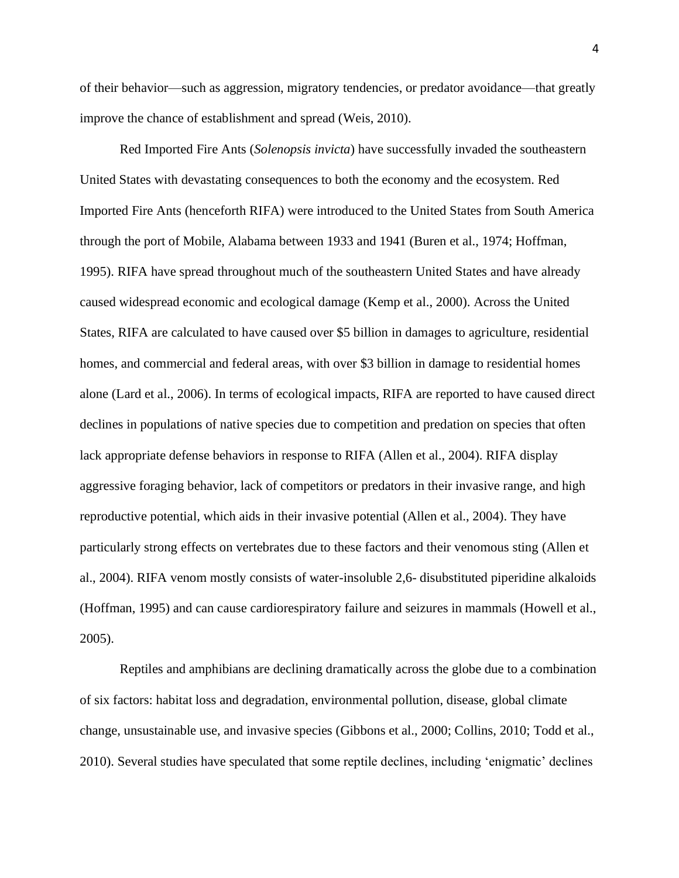of their behavior—such as aggression, migratory tendencies, or predator avoidance—that greatly improve the chance of establishment and spread (Weis, 2010).

Red Imported Fire Ants (*Solenopsis invicta*) have successfully invaded the southeastern United States with devastating consequences to both the economy and the ecosystem. Red Imported Fire Ants (henceforth RIFA) were introduced to the United States from South America through the port of Mobile, Alabama between 1933 and 1941 (Buren et al., 1974; Hoffman, 1995). RIFA have spread throughout much of the southeastern United States and have already caused widespread economic and ecological damage (Kemp et al., 2000). Across the United States, RIFA are calculated to have caused over \$5 billion in damages to agriculture, residential homes, and commercial and federal areas, with over \$3 billion in damage to residential homes alone (Lard et al., 2006). In terms of ecological impacts, RIFA are reported to have caused direct declines in populations of native species due to competition and predation on species that often lack appropriate defense behaviors in response to RIFA (Allen et al., 2004). RIFA display aggressive foraging behavior, lack of competitors or predators in their invasive range, and high reproductive potential, which aids in their invasive potential (Allen et al., 2004). They have particularly strong effects on vertebrates due to these factors and their venomous sting (Allen et al., 2004). RIFA venom mostly consists of water-insoluble 2,6- disubstituted piperidine alkaloids (Hoffman, 1995) and can cause cardiorespiratory failure and seizures in mammals (Howell et al., 2005).

Reptiles and amphibians are declining dramatically across the globe due to a combination of six factors: habitat loss and degradation, environmental pollution, disease, global climate change, unsustainable use, and invasive species (Gibbons et al., 2000; Collins, 2010; Todd et al., 2010). Several studies have speculated that some reptile declines, including 'enigmatic' declines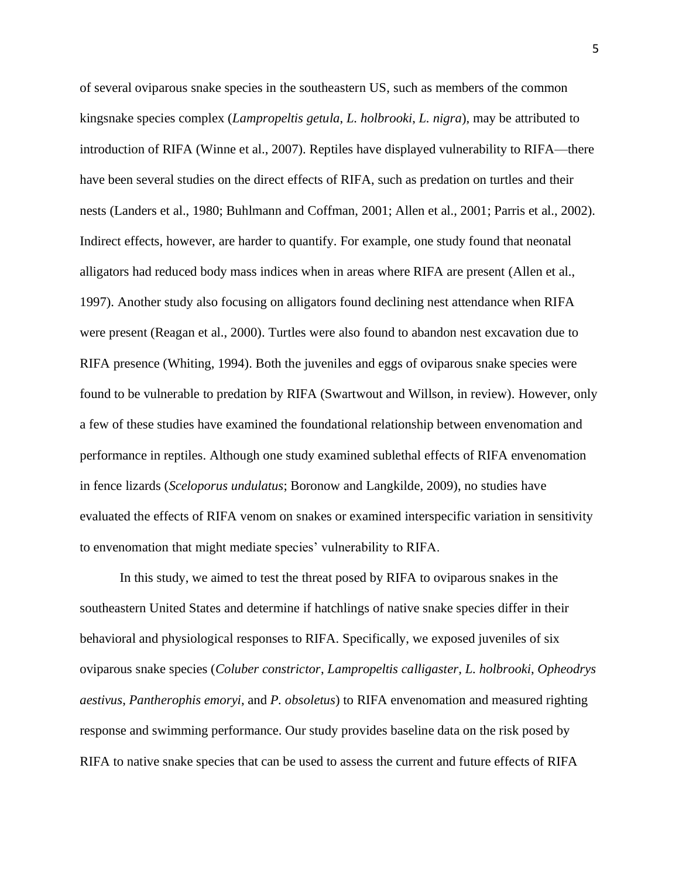of several oviparous snake species in the southeastern US, such as members of the common kingsnake species complex (*Lampropeltis getula*, *L. holbrooki*, *L. nigra*), may be attributed to introduction of RIFA (Winne et al., 2007). Reptiles have displayed vulnerability to RIFA—there have been several studies on the direct effects of RIFA, such as predation on turtles and their nests (Landers et al., 1980; Buhlmann and Coffman, 2001; Allen et al., 2001; Parris et al., 2002). Indirect effects, however, are harder to quantify. For example, one study found that neonatal alligators had reduced body mass indices when in areas where RIFA are present (Allen et al., 1997). Another study also focusing on alligators found declining nest attendance when RIFA were present (Reagan et al., 2000). Turtles were also found to abandon nest excavation due to RIFA presence (Whiting, 1994). Both the juveniles and eggs of oviparous snake species were found to be vulnerable to predation by RIFA (Swartwout and Willson, in review). However, only a few of these studies have examined the foundational relationship between envenomation and performance in reptiles. Although one study examined sublethal effects of RIFA envenomation in fence lizards (*Sceloporus undulatus*; Boronow and Langkilde, 2009), no studies have evaluated the effects of RIFA venom on snakes or examined interspecific variation in sensitivity to envenomation that might mediate species' vulnerability to RIFA.

In this study, we aimed to test the threat posed by RIFA to oviparous snakes in the southeastern United States and determine if hatchlings of native snake species differ in their behavioral and physiological responses to RIFA. Specifically, we exposed juveniles of six oviparous snake species (*Coluber constrictor*, *Lampropeltis calligaster, L. holbrooki*, *Opheodrys aestivus*, *Pantherophis emoryi*, and *P. obsoletus*) to RIFA envenomation and measured righting response and swimming performance. Our study provides baseline data on the risk posed by RIFA to native snake species that can be used to assess the current and future effects of RIFA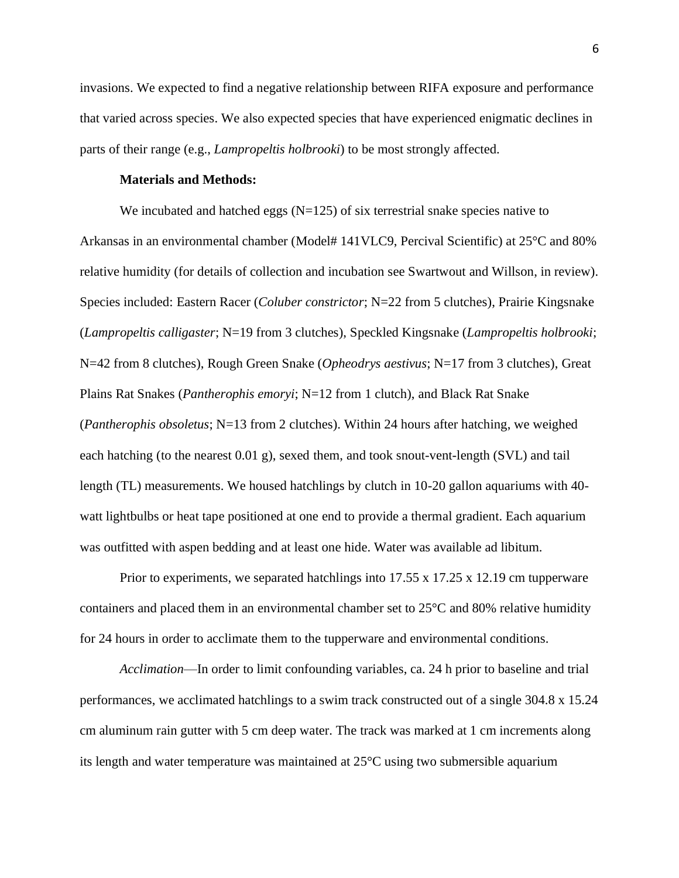invasions. We expected to find a negative relationship between RIFA exposure and performance that varied across species. We also expected species that have experienced enigmatic declines in parts of their range (e.g., *Lampropeltis holbrooki*) to be most strongly affected.

#### **Materials and Methods:**

We incubated and hatched eggs  $(N=125)$  of six terrestrial snake species native to Arkansas in an environmental chamber (Model# 141VLC9, Percival Scientific) at 25°C and 80% relative humidity (for details of collection and incubation see Swartwout and Willson, in review). Species included: Eastern Racer (*Coluber constrictor*; N=22 from 5 clutches), Prairie Kingsnake (*Lampropeltis calligaster*; N=19 from 3 clutches), Speckled Kingsnake (*Lampropeltis holbrooki*; N=42 from 8 clutches), Rough Green Snake (*Opheodrys aestivus*; N=17 from 3 clutches), Great Plains Rat Snakes (*Pantherophis emoryi*; N=12 from 1 clutch), and Black Rat Snake (*Pantherophis obsoletus*; N=13 from 2 clutches). Within 24 hours after hatching, we weighed each hatching (to the nearest 0.01 g), sexed them, and took snout-vent-length (SVL) and tail length (TL) measurements. We housed hatchlings by clutch in 10-20 gallon aquariums with 40 watt lightbulbs or heat tape positioned at one end to provide a thermal gradient. Each aquarium was outfitted with aspen bedding and at least one hide. Water was available ad libitum.

Prior to experiments, we separated hatchlings into 17.55 x 17.25 x 12.19 cm tupperware containers and placed them in an environmental chamber set to 25°C and 80% relative humidity for 24 hours in order to acclimate them to the tupperware and environmental conditions.

*Acclimation*—In order to limit confounding variables, ca. 24 h prior to baseline and trial performances, we acclimated hatchlings to a swim track constructed out of a single 304.8 x 15.24 cm aluminum rain gutter with 5 cm deep water. The track was marked at 1 cm increments along its length and water temperature was maintained at 25°C using two submersible aquarium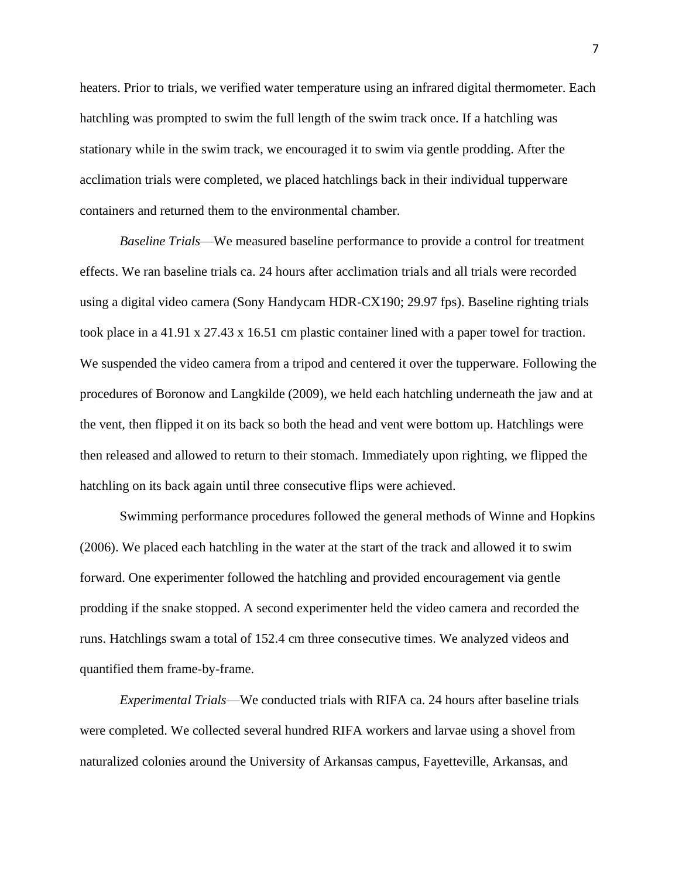heaters. Prior to trials, we verified water temperature using an infrared digital thermometer. Each hatchling was prompted to swim the full length of the swim track once. If a hatchling was stationary while in the swim track, we encouraged it to swim via gentle prodding. After the acclimation trials were completed, we placed hatchlings back in their individual tupperware containers and returned them to the environmental chamber.

*Baseline Trials*—We measured baseline performance to provide a control for treatment effects. We ran baseline trials ca. 24 hours after acclimation trials and all trials were recorded using a digital video camera (Sony Handycam HDR-CX190; 29.97 fps). Baseline righting trials took place in a 41.91 x 27.43 x 16.51 cm plastic container lined with a paper towel for traction. We suspended the video camera from a tripod and centered it over the tupperware. Following the procedures of Boronow and Langkilde (2009), we held each hatchling underneath the jaw and at the vent, then flipped it on its back so both the head and vent were bottom up. Hatchlings were then released and allowed to return to their stomach. Immediately upon righting, we flipped the hatchling on its back again until three consecutive flips were achieved.

Swimming performance procedures followed the general methods of Winne and Hopkins (2006). We placed each hatchling in the water at the start of the track and allowed it to swim forward. One experimenter followed the hatchling and provided encouragement via gentle prodding if the snake stopped. A second experimenter held the video camera and recorded the runs. Hatchlings swam a total of 152.4 cm three consecutive times. We analyzed videos and quantified them frame-by-frame.

*Experimental Trials*—We conducted trials with RIFA ca. 24 hours after baseline trials were completed. We collected several hundred RIFA workers and larvae using a shovel from naturalized colonies around the University of Arkansas campus, Fayetteville, Arkansas, and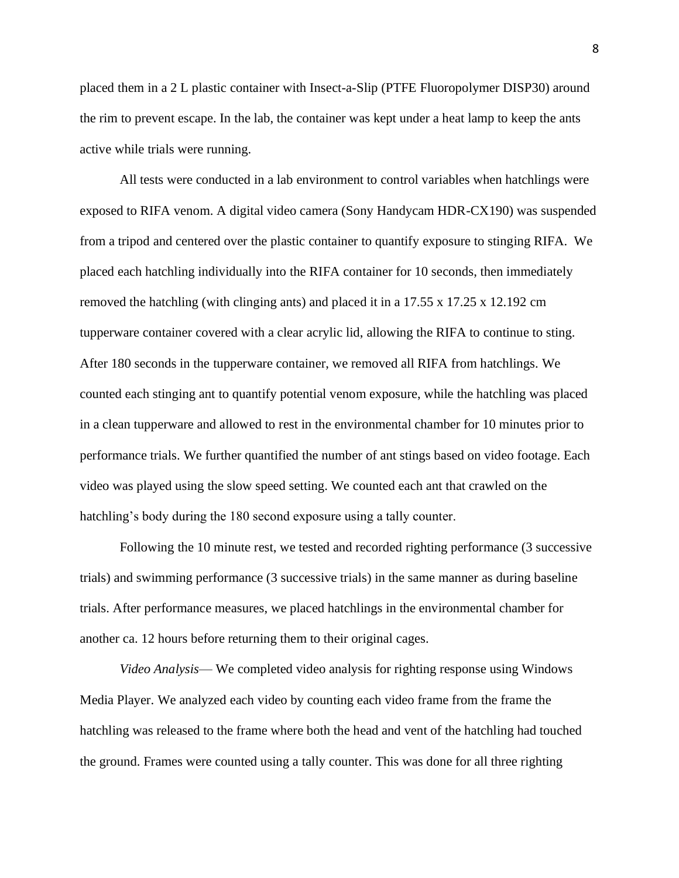placed them in a 2 L plastic container with Insect-a-Slip (PTFE Fluoropolymer DISP30) around the rim to prevent escape. In the lab, the container was kept under a heat lamp to keep the ants active while trials were running.

All tests were conducted in a lab environment to control variables when hatchlings were exposed to RIFA venom. A digital video camera (Sony Handycam HDR-CX190) was suspended from a tripod and centered over the plastic container to quantify exposure to stinging RIFA. We placed each hatchling individually into the RIFA container for 10 seconds, then immediately removed the hatchling (with clinging ants) and placed it in a 17.55 x 17.25 x 12.192 cm tupperware container covered with a clear acrylic lid, allowing the RIFA to continue to sting. After 180 seconds in the tupperware container, we removed all RIFA from hatchlings. We counted each stinging ant to quantify potential venom exposure, while the hatchling was placed in a clean tupperware and allowed to rest in the environmental chamber for 10 minutes prior to performance trials. We further quantified the number of ant stings based on video footage. Each video was played using the slow speed setting. We counted each ant that crawled on the hatchling's body during the 180 second exposure using a tally counter.

Following the 10 minute rest, we tested and recorded righting performance (3 successive trials) and swimming performance (3 successive trials) in the same manner as during baseline trials. After performance measures, we placed hatchlings in the environmental chamber for another ca. 12 hours before returning them to their original cages.

*Video Analysis*— We completed video analysis for righting response using Windows Media Player. We analyzed each video by counting each video frame from the frame the hatchling was released to the frame where both the head and vent of the hatchling had touched the ground. Frames were counted using a tally counter. This was done for all three righting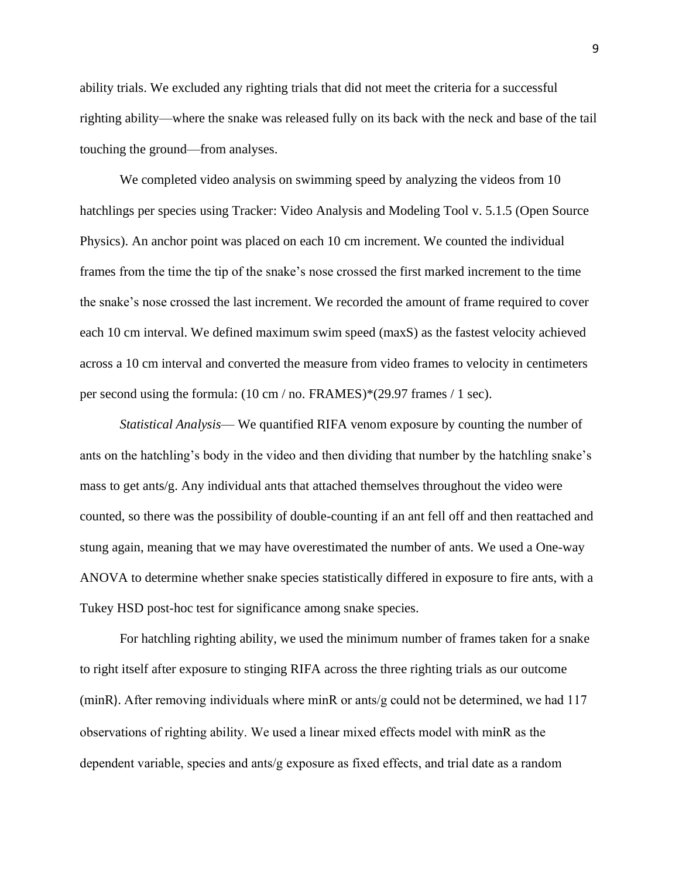ability trials. We excluded any righting trials that did not meet the criteria for a successful righting ability—where the snake was released fully on its back with the neck and base of the tail touching the ground—from analyses.

We completed video analysis on swimming speed by analyzing the videos from 10 hatchlings per species using Tracker: Video Analysis and Modeling Tool v. 5.1.5 (Open Source Physics). An anchor point was placed on each 10 cm increment. We counted the individual frames from the time the tip of the snake's nose crossed the first marked increment to the time the snake's nose crossed the last increment. We recorded the amount of frame required to cover each 10 cm interval. We defined maximum swim speed (maxS) as the fastest velocity achieved across a 10 cm interval and converted the measure from video frames to velocity in centimeters per second using the formula: (10 cm / no. FRAMES)\*(29.97 frames / 1 sec).

*Statistical Analysis*— We quantified RIFA venom exposure by counting the number of ants on the hatchling's body in the video and then dividing that number by the hatchling snake's mass to get ants/g. Any individual ants that attached themselves throughout the video were counted, so there was the possibility of double-counting if an ant fell off and then reattached and stung again, meaning that we may have overestimated the number of ants. We used a One-way ANOVA to determine whether snake species statistically differed in exposure to fire ants, with a Tukey HSD post-hoc test for significance among snake species.

For hatchling righting ability, we used the minimum number of frames taken for a snake to right itself after exposure to stinging RIFA across the three righting trials as our outcome (minR). After removing individuals where minR or ants/g could not be determined, we had 117 observations of righting ability. We used a linear mixed effects model with minR as the dependent variable, species and ants/g exposure as fixed effects, and trial date as a random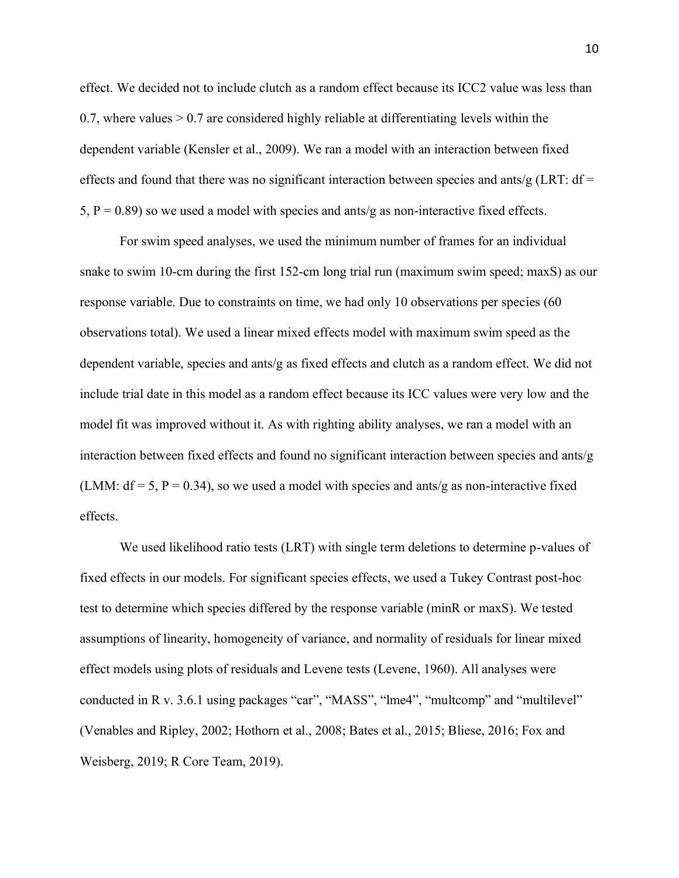effect. We decided not to include clutch as a random effect because its ICC2 value was less than 0.7, where values  $> 0.7$  are considered highly reliable at differentiating levels within the dependent variable (Kensler et al., 2009). We ran a model with an interaction between fixed effects and found that there was no significant interaction between species and ants/g (LRT:  $df =$ 5,  $P = 0.89$ ) so we used a model with species and ants/g as non-interactive fixed effects.

For swim speed analyses, we used the minimum number of frames for an individual snake to swim 10-cm during the first 152-cm long trial run (maximum swim speed; maxS) as our response variable. Due to constraints on time, we had only 10 observations per species (60 observations total). We used a linear mixed effects model with maximum swim speed as the dependent variable, species and ants/g as fixed effects and clutch as a random effect. We did not include trial date in this model as a random effect because its ICC values were very low and the model fit was improved without it. As with righting ability analyses, we ran a model with an interaction between fixed effects and found no significant interaction between species and ants/g (LMM:  $df = 5$ ,  $P = 0.34$ ), so we used a model with species and ants/g as non-interactive fixed effects.

We used likelihood ratio tests (LRT) with single term deletions to determine p-values of fixed effects in our models. For significant species effects, we used a Tukey Contrast post-hoc test to determine which species differed by the response variable (minR or maxS). We tested assumptions of linearity, homogeneity of variance, and normality of residuals for linear mixed effect models using plots of residuals and Levene tests (Levene, 1960). All analyses were conducted in R v. 3.6.1 using packages "car", "MASS", "lme4", "multcomp" and "multilevel" (Venables and Ripley, 2002; Hothorn et al., 2008; Bates et al., 2015; Bliese, 2016; Fox and Weisberg, 2019; R Core Team, 2019).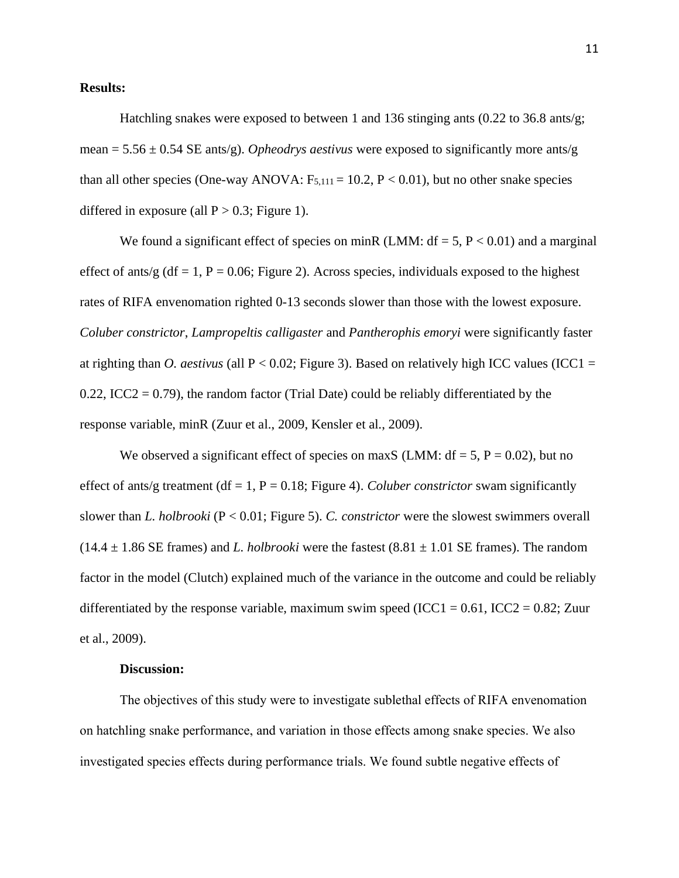#### **Results:**

Hatchling snakes were exposed to between 1 and 136 stinging ants (0.22 to 36.8 ants/g; mean =  $5.56 \pm 0.54$  SE ants/g). *Opheodrys aestivus* were exposed to significantly more ants/g than all other species (One-way ANOVA:  $F_{5,111} = 10.2$ ,  $P < 0.01$ ), but no other snake species differed in exposure (all  $P > 0.3$ ; Figure 1).

We found a significant effect of species on minR (LMM:  $df = 5$ ,  $P < 0.01$ ) and a marginal effect of ants/g (df = 1, P = 0.06; Figure 2). Across species, individuals exposed to the highest rates of RIFA envenomation righted 0-13 seconds slower than those with the lowest exposure. *Coluber constrictor*, *Lampropeltis calligaster* and *Pantherophis emoryi* were significantly faster at righting than *O. aestivus* (all  $P < 0.02$ ; Figure 3). Based on relatively high ICC values (ICC1 = 0.22, ICC2 = 0.79), the random factor (Trial Date) could be reliably differentiated by the response variable, minR (Zuur et al., 2009, Kensler et al., 2009).

We observed a significant effect of species on maxS (LMM:  $df = 5$ ,  $P = 0.02$ ), but no effect of ants/g treatment ( $df = 1$ ,  $P = 0.18$ ; Figure 4). *Coluber constrictor* swam significantly slower than *L. holbrooki* (P < 0.01; Figure 5). *C. constrictor* were the slowest swimmers overall  $(14.4 \pm 1.86$  SE frames) and *L. holbrooki* were the fastest  $(8.81 \pm 1.01$  SE frames). The random factor in the model (Clutch) explained much of the variance in the outcome and could be reliably differentiated by the response variable, maximum swim speed (ICC1 =  $0.61$ , ICC2 =  $0.82$ ; Zuur et al., 2009).

#### **Discussion:**

The objectives of this study were to investigate sublethal effects of RIFA envenomation on hatchling snake performance, and variation in those effects among snake species. We also investigated species effects during performance trials. We found subtle negative effects of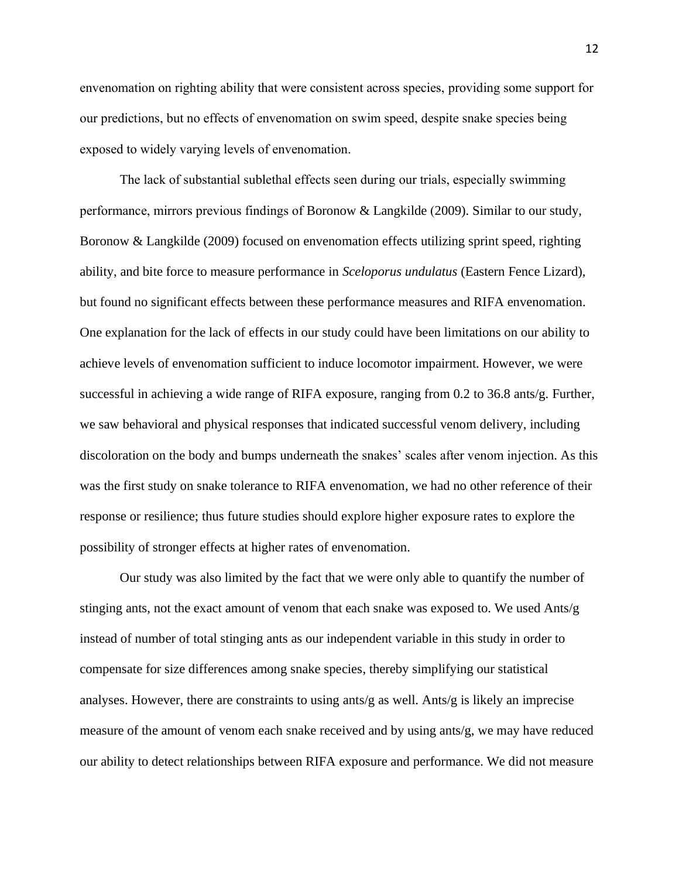envenomation on righting ability that were consistent across species, providing some support for our predictions, but no effects of envenomation on swim speed, despite snake species being exposed to widely varying levels of envenomation.

The lack of substantial sublethal effects seen during our trials, especially swimming performance, mirrors previous findings of Boronow & Langkilde (2009). Similar to our study, Boronow & Langkilde (2009) focused on envenomation effects utilizing sprint speed, righting ability, and bite force to measure performance in *Sceloporus undulatus* (Eastern Fence Lizard), but found no significant effects between these performance measures and RIFA envenomation. One explanation for the lack of effects in our study could have been limitations on our ability to achieve levels of envenomation sufficient to induce locomotor impairment. However, we were successful in achieving a wide range of RIFA exposure, ranging from 0.2 to 36.8 ants/g. Further, we saw behavioral and physical responses that indicated successful venom delivery, including discoloration on the body and bumps underneath the snakes' scales after venom injection. As this was the first study on snake tolerance to RIFA envenomation, we had no other reference of their response or resilience; thus future studies should explore higher exposure rates to explore the possibility of stronger effects at higher rates of envenomation.

Our study was also limited by the fact that we were only able to quantify the number of stinging ants, not the exact amount of venom that each snake was exposed to. We used Ants/g instead of number of total stinging ants as our independent variable in this study in order to compensate for size differences among snake species, thereby simplifying our statistical analyses. However, there are constraints to using ants/g as well. Ants/g is likely an imprecise measure of the amount of venom each snake received and by using ants/g, we may have reduced our ability to detect relationships between RIFA exposure and performance. We did not measure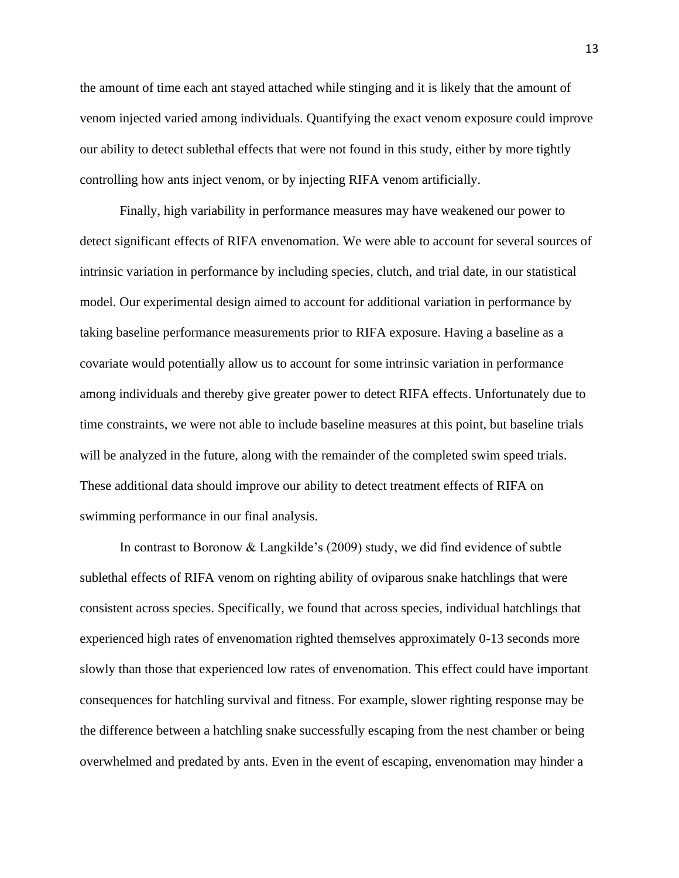the amount of time each ant stayed attached while stinging and it is likely that the amount of venom injected varied among individuals. Quantifying the exact venom exposure could improve our ability to detect sublethal effects that were not found in this study, either by more tightly controlling how ants inject venom, or by injecting RIFA venom artificially.

Finally, high variability in performance measures may have weakened our power to detect significant effects of RIFA envenomation. We were able to account for several sources of intrinsic variation in performance by including species, clutch, and trial date, in our statistical model. Our experimental design aimed to account for additional variation in performance by taking baseline performance measurements prior to RIFA exposure. Having a baseline as a covariate would potentially allow us to account for some intrinsic variation in performance among individuals and thereby give greater power to detect RIFA effects. Unfortunately due to time constraints, we were not able to include baseline measures at this point, but baseline trials will be analyzed in the future, along with the remainder of the completed swim speed trials. These additional data should improve our ability to detect treatment effects of RIFA on swimming performance in our final analysis.

In contrast to Boronow & Langkilde's (2009) study, we did find evidence of subtle sublethal effects of RIFA venom on righting ability of oviparous snake hatchlings that were consistent across species. Specifically, we found that across species, individual hatchlings that experienced high rates of envenomation righted themselves approximately 0-13 seconds more slowly than those that experienced low rates of envenomation. This effect could have important consequences for hatchling survival and fitness. For example, slower righting response may be the difference between a hatchling snake successfully escaping from the nest chamber or being overwhelmed and predated by ants. Even in the event of escaping, envenomation may hinder a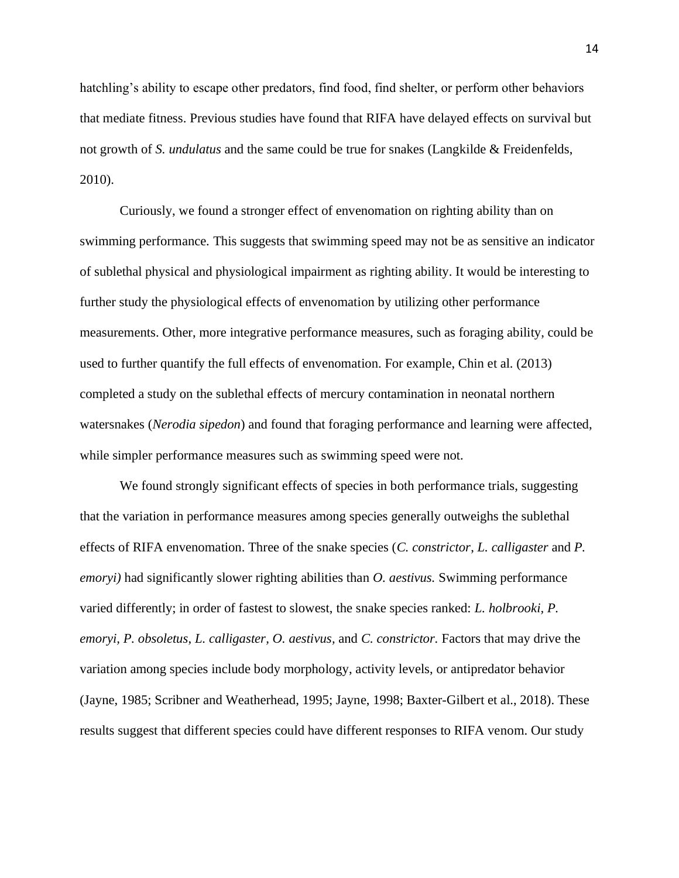hatchling's ability to escape other predators, find food, find shelter, or perform other behaviors that mediate fitness. Previous studies have found that RIFA have delayed effects on survival but not growth of *S. undulatus* and the same could be true for snakes (Langkilde & Freidenfelds, 2010).

Curiously, we found a stronger effect of envenomation on righting ability than on swimming performance. This suggests that swimming speed may not be as sensitive an indicator of sublethal physical and physiological impairment as righting ability. It would be interesting to further study the physiological effects of envenomation by utilizing other performance measurements. Other, more integrative performance measures, such as foraging ability, could be used to further quantify the full effects of envenomation. For example, Chin et al. (2013) completed a study on the sublethal effects of mercury contamination in neonatal northern watersnakes (*Nerodia sipedon*) and found that foraging performance and learning were affected, while simpler performance measures such as swimming speed were not.

We found strongly significant effects of species in both performance trials, suggesting that the variation in performance measures among species generally outweighs the sublethal effects of RIFA envenomation. Three of the snake species (*C. constrictor*, *L. calligaster* and *P. emoryi)* had significantly slower righting abilities than *O. aestivus.* Swimming performance varied differently; in order of fastest to slowest, the snake species ranked: *L. holbrooki, P. emoryi, P. obsoletus*, *L. calligaster, O. aestivus,* and *C. constrictor.* Factors that may drive the variation among species include body morphology, activity levels, or antipredator behavior (Jayne, 1985; Scribner and Weatherhead, 1995; Jayne, 1998; Baxter-Gilbert et al., 2018). These results suggest that different species could have different responses to RIFA venom. Our study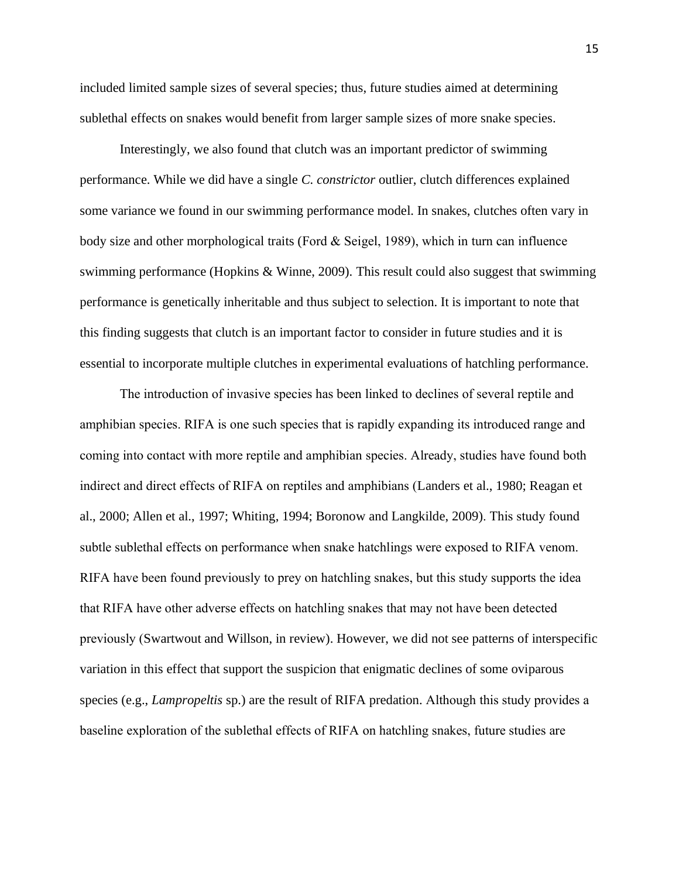included limited sample sizes of several species; thus, future studies aimed at determining sublethal effects on snakes would benefit from larger sample sizes of more snake species.

Interestingly, we also found that clutch was an important predictor of swimming performance. While we did have a single *C. constrictor* outlier, clutch differences explained some variance we found in our swimming performance model. In snakes, clutches often vary in body size and other morphological traits (Ford & Seigel, 1989), which in turn can influence swimming performance (Hopkins & Winne, 2009). This result could also suggest that swimming performance is genetically inheritable and thus subject to selection. It is important to note that this finding suggests that clutch is an important factor to consider in future studies and it is essential to incorporate multiple clutches in experimental evaluations of hatchling performance.

The introduction of invasive species has been linked to declines of several reptile and amphibian species. RIFA is one such species that is rapidly expanding its introduced range and coming into contact with more reptile and amphibian species. Already, studies have found both indirect and direct effects of RIFA on reptiles and amphibians (Landers et al., 1980; Reagan et al., 2000; Allen et al., 1997; Whiting, 1994; Boronow and Langkilde, 2009). This study found subtle sublethal effects on performance when snake hatchlings were exposed to RIFA venom. RIFA have been found previously to prey on hatchling snakes, but this study supports the idea that RIFA have other adverse effects on hatchling snakes that may not have been detected previously (Swartwout and Willson, in review). However, we did not see patterns of interspecific variation in this effect that support the suspicion that enigmatic declines of some oviparous species (e.g., *Lampropeltis* sp.) are the result of RIFA predation. Although this study provides a baseline exploration of the sublethal effects of RIFA on hatchling snakes, future studies are

15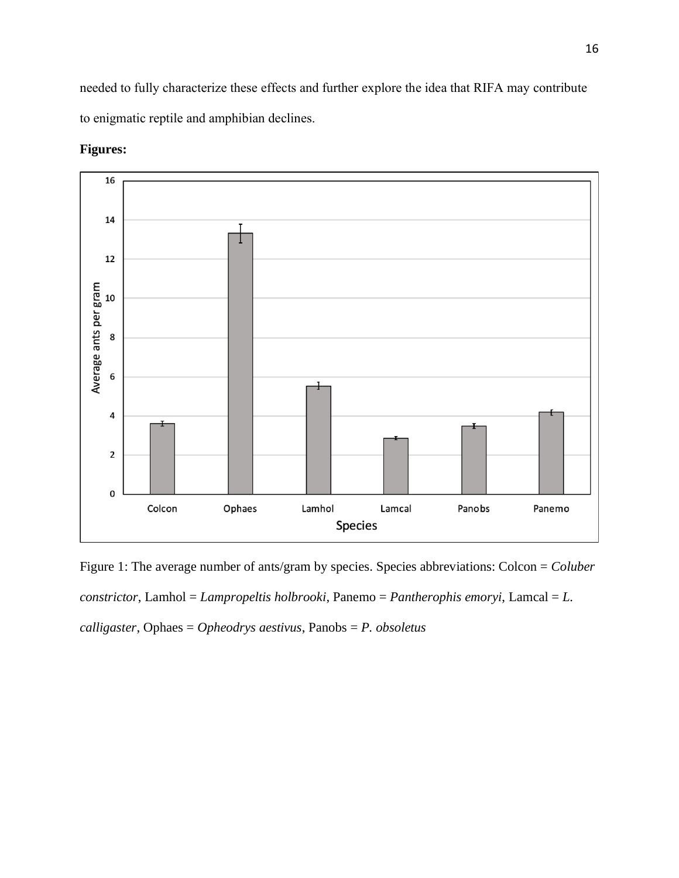needed to fully characterize these effects and further explore the idea that RIFA may contribute to enigmatic reptile and amphibian declines.



#### **Figures:**

Figure 1: The average number of ants/gram by species. Species abbreviations: Colcon = *Coluber constrictor*, Lamhol = *Lampropeltis holbrooki*, Panemo = *Pantherophis emoryi*, Lamcal = *L. calligaster*, Ophaes = *Opheodrys aestivus*, Panobs = *P. obsoletus*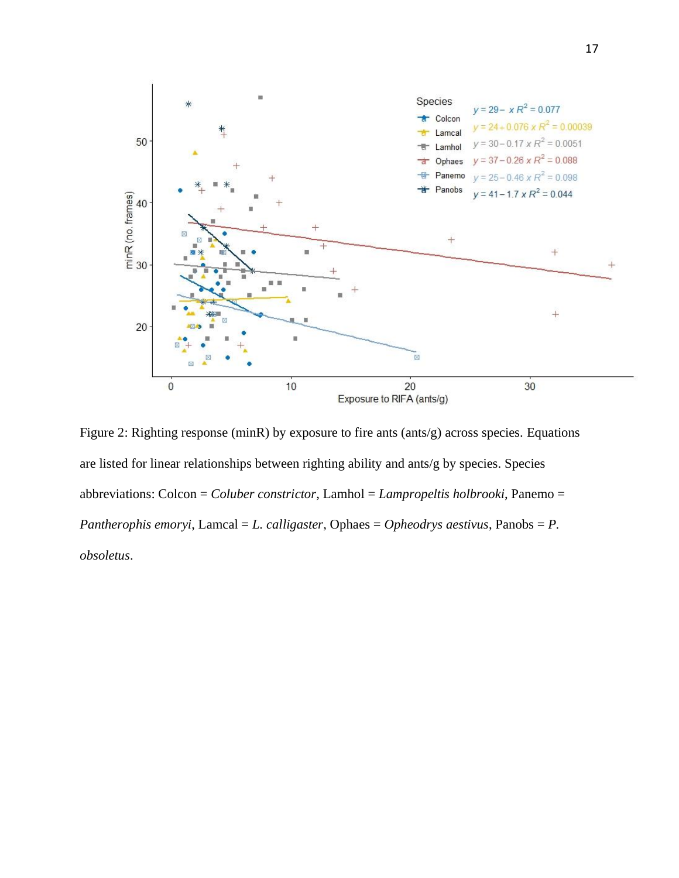

Figure 2: Righting response (minR) by exposure to fire ants (ants/g) across species. Equations are listed for linear relationships between righting ability and ants/g by species. Species abbreviations: Colcon = *Coluber constrictor*, Lamhol = *Lampropeltis holbrooki*, Panemo = *Pantherophis emoryi*, Lamcal = *L. calligaster*, Ophaes = *Opheodrys aestivus*, Panobs = *P. obsoletus*.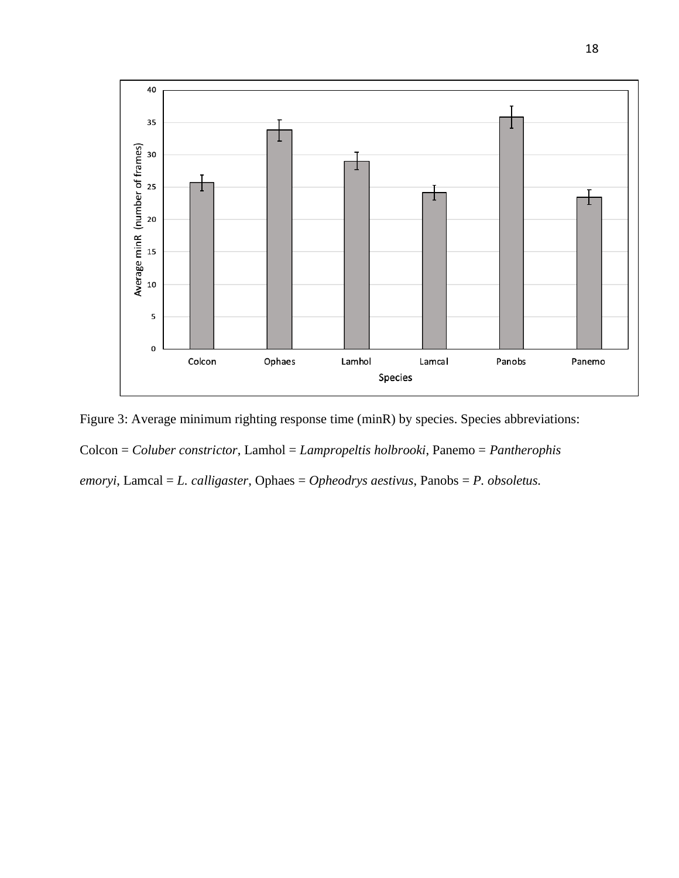

Figure 3: Average minimum righting response time (minR) by species. Species abbreviations: Colcon = *Coluber constrictor*, Lamhol = *Lampropeltis holbrooki*, Panemo = *Pantherophis emoryi*, Lamcal = *L. calligaster*, Ophaes = *Opheodrys aestivus*, Panobs = *P. obsoletus.*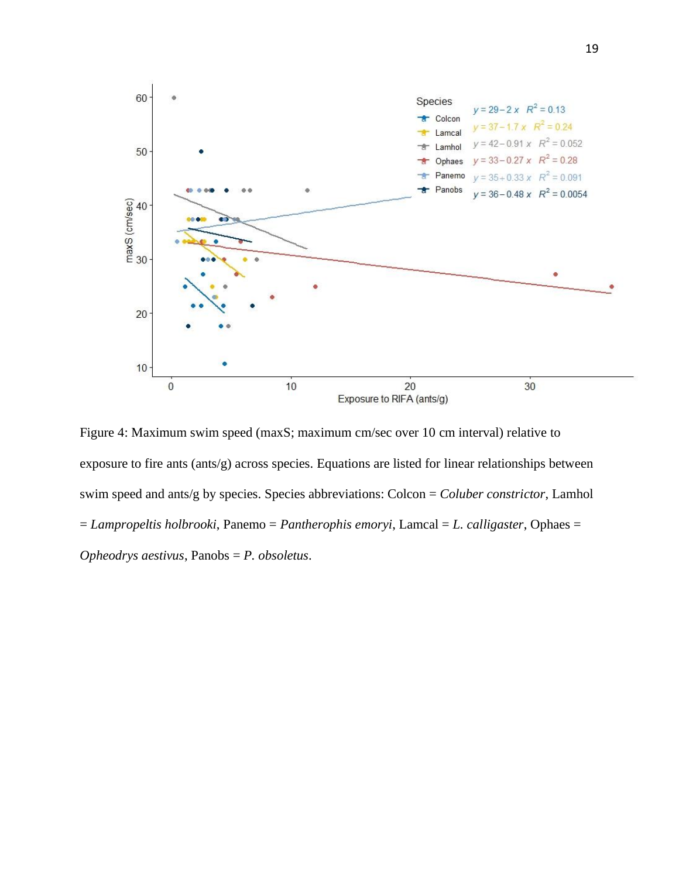

Figure 4: Maximum swim speed (maxS; maximum cm/sec over 10 cm interval) relative to exposure to fire ants (ants/g) across species. Equations are listed for linear relationships between swim speed and ants/g by species. Species abbreviations: Colcon = *Coluber constrictor*, Lamhol = *Lampropeltis holbrooki*, Panemo = *Pantherophis emoryi*, Lamcal = *L. calligaster*, Ophaes = *Opheodrys aestivus*, Panobs = *P. obsoletus*.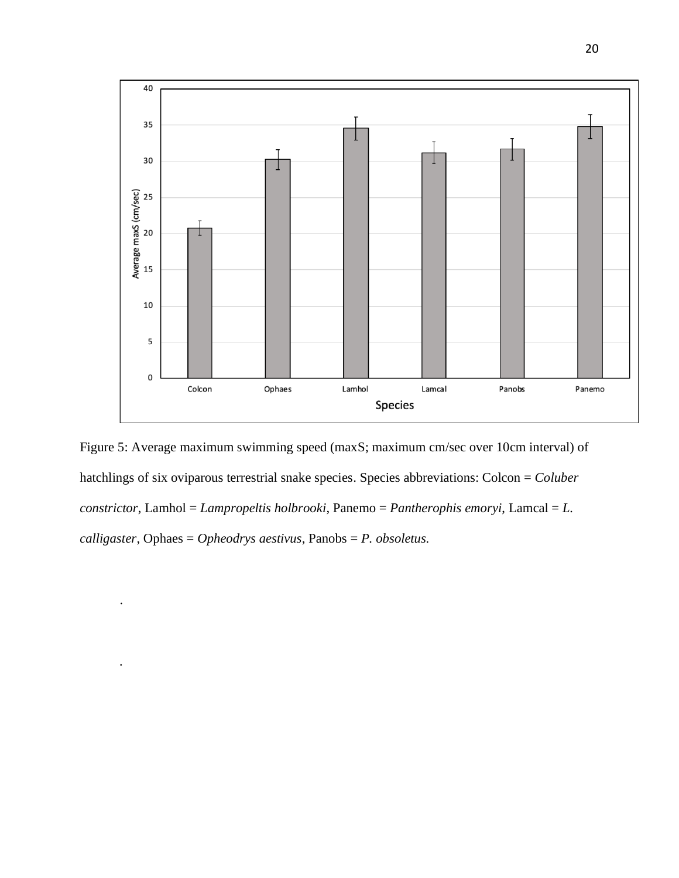

Figure 5: Average maximum swimming speed (maxS; maximum cm/sec over 10cm interval) of hatchlings of six oviparous terrestrial snake species. Species abbreviations: Colcon = *Coluber constrictor*, Lamhol = *Lampropeltis holbrooki*, Panemo = *Pantherophis emoryi*, Lamcal = *L. calligaster*, Ophaes = *Opheodrys aestivus*, Panobs = *P. obsoletus.*

.

*.*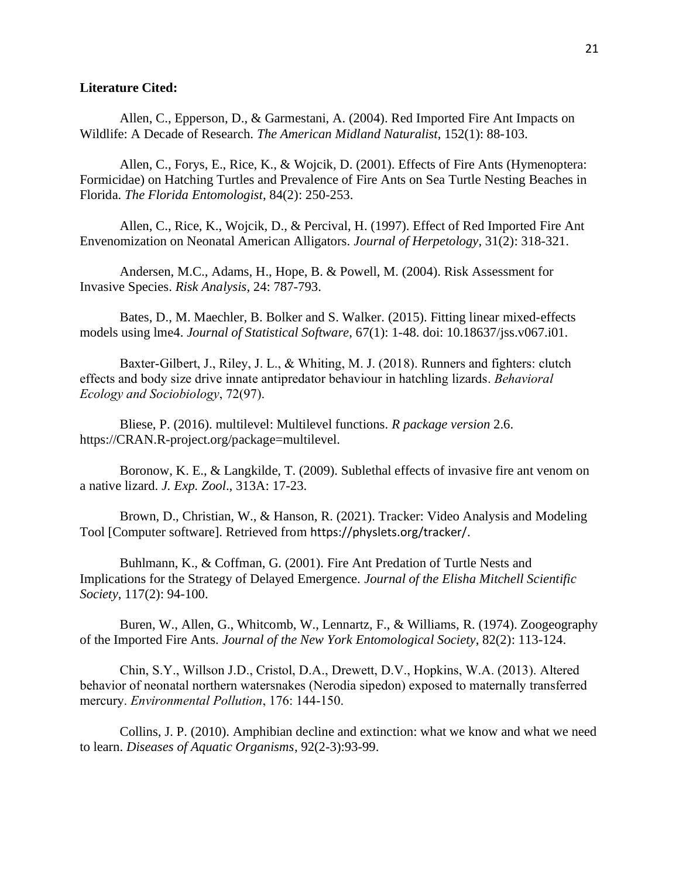#### **Literature Cited:**

Allen, C., Epperson, D., & Garmestani, A. (2004). Red Imported Fire Ant Impacts on Wildlife: A Decade of Research. *The American Midland Naturalist*, 152(1): 88-103.

Allen, C., Forys, E., Rice, K., & Wojcik, D. (2001). Effects of Fire Ants (Hymenoptera: Formicidae) on Hatching Turtles and Prevalence of Fire Ants on Sea Turtle Nesting Beaches in Florida. *The Florida Entomologist*, 84(2): 250-253.

Allen, C., Rice, K., Wojcik, D., & Percival, H. (1997). Effect of Red Imported Fire Ant Envenomization on Neonatal American Alligators. *Journal of Herpetology*, 31(2): 318-321.

Andersen, M.C., Adams, H., Hope, B. & Powell, M. (2004). Risk Assessment for Invasive Species. *Risk Analysis*, 24: 787-793.

Bates, D., M. Maechler, B. Bolker and S. Walker. (2015). Fitting linear mixed-effects models using lme4. *Journal of Statistical Software*, 67(1): 1-48. doi: 10.18637/jss.v067.i01.

Baxter-Gilbert, J., Riley, J. L., & Whiting, M. J. (2018). Runners and fighters: clutch effects and body size drive innate antipredator behaviour in hatchling lizards. *Behavioral Ecology and Sociobiology*, 72(97).

Bliese, P. (2016). multilevel: Multilevel functions. *R package version* 2.6. https://CRAN.R-project.org/package=multilevel.

Boronow, K. E., & Langkilde, T. (2009). Sublethal effects of invasive fire ant venom on a native lizard. *J. Exp. Zool*., 313A: 17-23.

Brown, D., Christian, W., & Hanson, R. (2021). Tracker: Video Analysis and Modeling Tool [Computer software]. Retrieved from https://physlets.org/tracker/.

Buhlmann, K., & Coffman, G. (2001). Fire Ant Predation of Turtle Nests and Implications for the Strategy of Delayed Emergence. *Journal of the Elisha Mitchell Scientific Society*, 117(2): 94-100.

Buren, W., Allen, G., Whitcomb, W., Lennartz, F., & Williams, R. (1974). Zoogeography of the Imported Fire Ants*. Journal of the New York Entomological Society*, 82(2): 113-124.

Chin, S.Y., Willson J.D., Cristol, D.A., Drewett, D.V., Hopkins, W.A. (2013). Altered behavior of neonatal northern watersnakes (Nerodia sipedon) exposed to maternally transferred mercury. *Environmental Pollution*, 176: 144-150.

Collins, J. P. (2010). Amphibian decline and extinction: what we know and what we need to learn. *Diseases of Aquatic Organisms*, 92(2-3):93-99.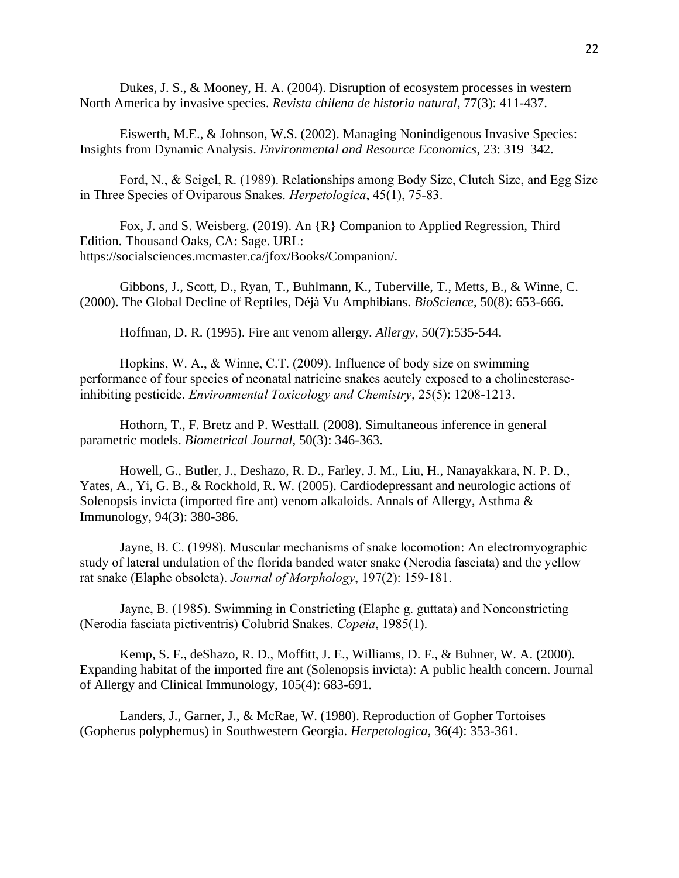Dukes, J. S., & Mooney, H. A. (2004). Disruption of ecosystem processes in western North America by invasive species. *Revista chilena de historia natural*, 77(3): 411-437.

Eiswerth, M.E., & Johnson, W.S. (2002). Managing Nonindigenous Invasive Species: Insights from Dynamic Analysis. *Environmental and Resource Economics*, 23: 319–342.

Ford, N., & Seigel, R. (1989). Relationships among Body Size, Clutch Size, and Egg Size in Three Species of Oviparous Snakes. *Herpetologica*, 45(1), 75-83.

Fox, J. and S. Weisberg. (2019). An {R} Companion to Applied Regression, Third Edition. Thousand Oaks, CA: Sage. URL: https://socialsciences.mcmaster.ca/jfox/Books/Companion/.

Gibbons, J., Scott, D., Ryan, T., Buhlmann, K., Tuberville, T., Metts, B., & Winne, C. (2000). The Global Decline of Reptiles, Déjà Vu Amphibians. *BioScience*, 50(8): 653-666.

Hoffman, D. R. (1995). Fire ant venom allergy. *Allergy*, 50(7):535-544.

Hopkins, W. A., & Winne, C.T. (2009). Influence of body size on swimming performance of four species of neonatal natricine snakes acutely exposed to a cholinesterase‐ inhibiting pesticide. *Environmental Toxicology and Chemistry*, 25(5): 1208-1213.

Hothorn, T., F. Bretz and P. Westfall. (2008). Simultaneous inference in general parametric models. *Biometrical Journal*, 50(3): 346-363.

Howell, G., Butler, J., Deshazo, R. D., Farley, J. M., Liu, H., Nanayakkara, N. P. D., Yates, A., Yi, G. B., & Rockhold, R. W. (2005). Cardiodepressant and neurologic actions of Solenopsis invicta (imported fire ant) venom alkaloids. Annals of Allergy, Asthma & Immunology, 94(3): 380-386.

Jayne, B. C. (1998). Muscular mechanisms of snake locomotion: An electromyographic study of lateral undulation of the florida banded water snake (Nerodia fasciata) and the yellow rat snake (Elaphe obsoleta). *Journal of Morphology*, 197(2): 159-181.

Jayne, B. (1985). Swimming in Constricting (Elaphe g. guttata) and Nonconstricting (Nerodia fasciata pictiventris) Colubrid Snakes. *Copeia*, 1985(1).

Kemp, S. F., deShazo, R. D., Moffitt, J. E., Williams, D. F., & Buhner, W. A. (2000). Expanding habitat of the imported fire ant (Solenopsis invicta): A public health concern. Journal of Allergy and Clinical Immunology, 105(4): 683-691.

Landers, J., Garner, J., & McRae, W. (1980). Reproduction of Gopher Tortoises (Gopherus polyphemus) in Southwestern Georgia. *Herpetologica*, 36(4): 353-361.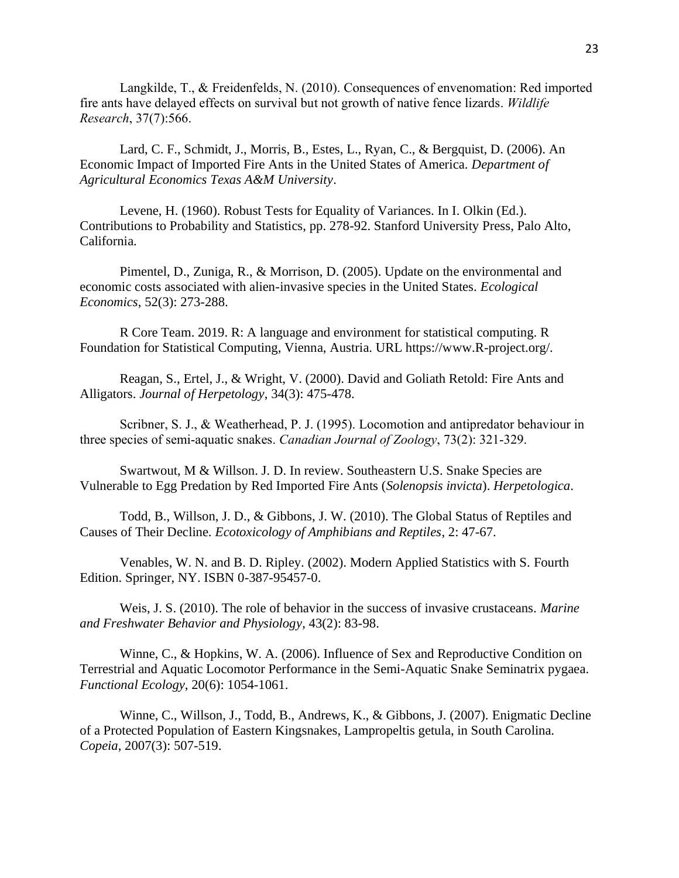Langkilde, T., & Freidenfelds, N. (2010). Consequences of envenomation: Red imported fire ants have delayed effects on survival but not growth of native fence lizards. *Wildlife Research*, 37(7):566.

Lard, C. F., Schmidt, J., Morris, B., Estes, L., Ryan, C., & Bergquist, D. (2006). An Economic Impact of Imported Fire Ants in the United States of America. *Department of Agricultural Economics Texas A&M University*.

Levene, H. (1960). Robust Tests for Equality of Variances. In I. Olkin (Ed.). Contributions to Probability and Statistics, pp. 278-92. Stanford University Press, Palo Alto, California.

Pimentel, D., Zuniga, R., & Morrison, D. (2005). Update on the environmental and economic costs associated with alien-invasive species in the United States. *Ecological Economics*, 52(3): 273-288.

R Core Team. 2019. R: A language and environment for statistical computing. R Foundation for Statistical Computing, Vienna, Austria. URL https://www.R-project.org/.

Reagan, S., Ertel, J., & Wright, V. (2000). David and Goliath Retold: Fire Ants and Alligators. *Journal of Herpetology*, 34(3): 475-478.

Scribner, S. J., & Weatherhead, P. J. (1995). Locomotion and antipredator behaviour in three species of semi-aquatic snakes. *Canadian Journal of Zoology*, 73(2): 321-329.

Swartwout, M & Willson. J. D. In review. Southeastern U.S. Snake Species are Vulnerable to Egg Predation by Red Imported Fire Ants (*Solenopsis invicta*). *Herpetologica*.

Todd, B., Willson, J. D., & Gibbons, J. W. (2010). The Global Status of Reptiles and Causes of Their Decline. *Ecotoxicology of Amphibians and Reptiles*, 2: 47-67.

Venables, W. N. and B. D. Ripley. (2002). Modern Applied Statistics with S. Fourth Edition. Springer, NY. ISBN 0-387-95457-0.

Weis, J. S. (2010). The role of behavior in the success of invasive crustaceans. *Marine and Freshwater Behavior and Physiology*, 43(2): 83-98.

Winne, C., & Hopkins, W. A. (2006). Influence of Sex and Reproductive Condition on Terrestrial and Aquatic Locomotor Performance in the Semi-Aquatic Snake Seminatrix pygaea. *Functional Ecology*, 20(6): 1054-1061.

Winne, C., Willson, J., Todd, B., Andrews, K., & Gibbons, J. (2007). Enigmatic Decline of a Protected Population of Eastern Kingsnakes, Lampropeltis getula, in South Carolina. *Copeia*, 2007(3): 507-519.